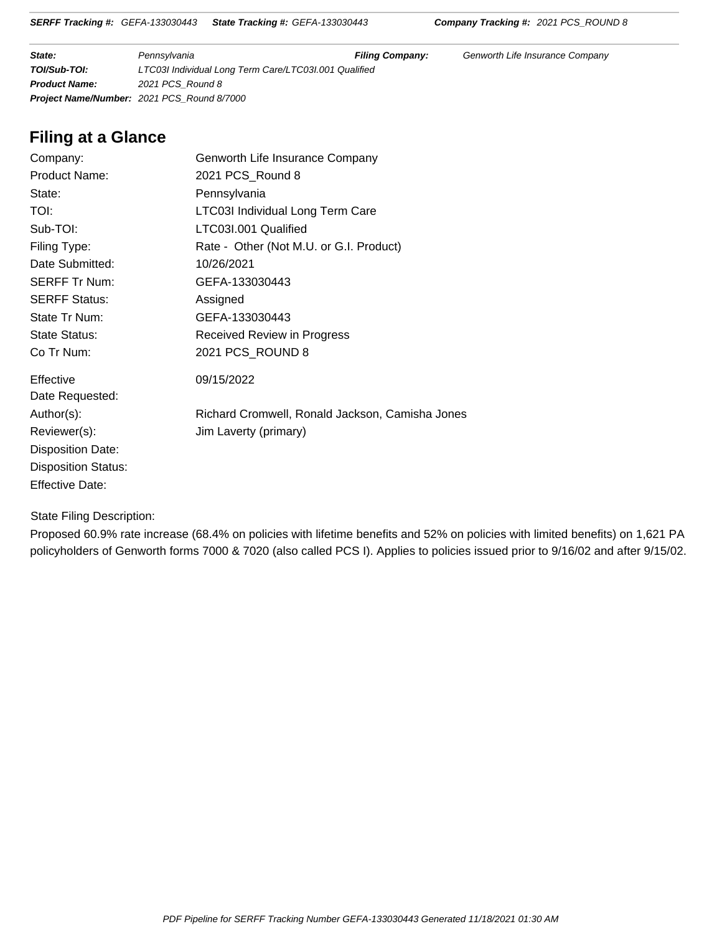**State: Filing Company: Filing Company:** Genworth Life Insurance Company: **Filing Company:** Genworth Life Insurance Company **TOI/Sub-TOI:** LTC03I Individual Long Term Care/LTC03I.001 Qualified **Product Name:** 2021 PCS\_Round 8 **Project Name/Number:** 2021 PCS\_Round 8/7000

## **Filing at a Glance**

| Company:                   | Genworth Life Insurance Company                 |
|----------------------------|-------------------------------------------------|
| <b>Product Name:</b>       | 2021 PCS_Round 8                                |
| State:                     | Pennsylvania                                    |
| TOI:                       | <b>LTC03I Individual Long Term Care</b>         |
| Sub-TOI:                   | LTC03I.001 Qualified                            |
| Filing Type:               | Rate - Other (Not M.U. or G.I. Product)         |
| Date Submitted:            | 10/26/2021                                      |
| <b>SERFF Tr Num:</b>       | GEFA-133030443                                  |
| <b>SERFF Status:</b>       | Assigned                                        |
| State Tr Num:              | GEFA-133030443                                  |
| State Status:              | <b>Received Review in Progress</b>              |
| Co Tr Num:                 | 2021 PCS_ROUND 8                                |
| Effective                  | 09/15/2022                                      |
| Date Requested:            |                                                 |
| Author(s):                 | Richard Cromwell, Ronald Jackson, Camisha Jones |
| Reviewer(s):               | Jim Laverty (primary)                           |
| <b>Disposition Date:</b>   |                                                 |
| <b>Disposition Status:</b> |                                                 |
| <b>Effective Date:</b>     |                                                 |

State Filing Description:

Proposed 60.9% rate increase (68.4% on policies with lifetime benefits and 52% on policies with limited benefits) on 1,621 PA policyholders of Genworth forms 7000 & 7020 (also called PCS I). Applies to policies issued prior to 9/16/02 and after 9/15/02.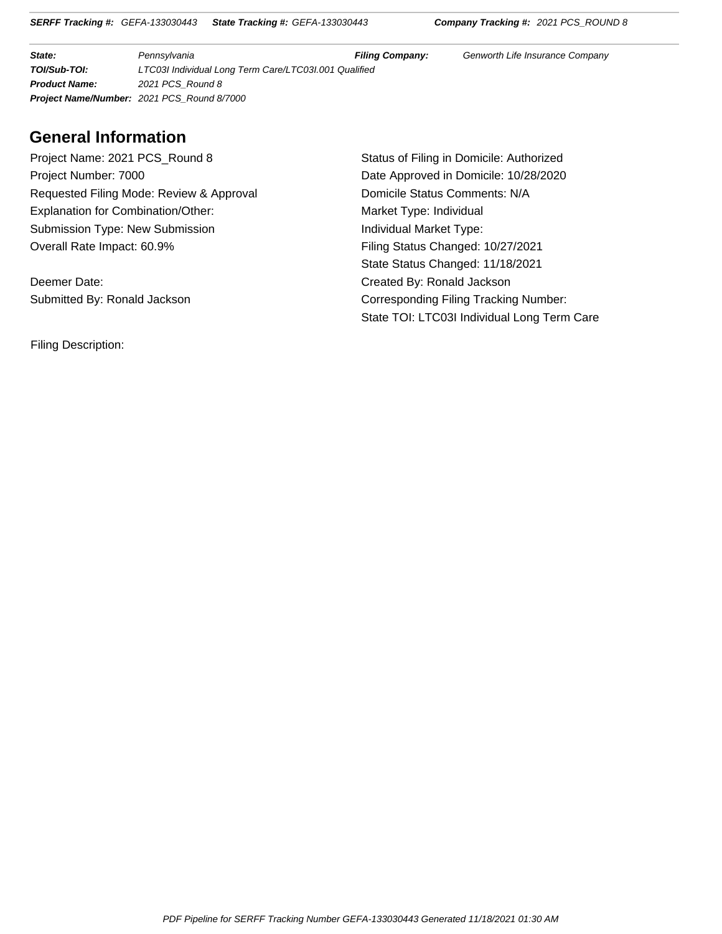**State:** Pennsylvania **Filing Company:** Genworth Life Insurance Company **TOI/Sub-TOI:** LTC03I Individual Long Term Care/LTC03I.001 Qualified **Product Name:** 2021 PCS\_Round 8 **Project Name/Number:** 2021 PCS\_Round 8/7000

#### **General Information**

Project Name: 2021 PCS\_Round 8 Status of Filing in Domicile: Authorized Project Number: 7000 **Date Approved in Domicile: 10/28/2020** Requested Filing Mode: Review & Approval Domicile Status Comments: N/A Explanation for Combination/Other: Market Type: Individual Submission Type: New Submission **Individual Market Type:** Overall Rate Impact: 60.9% Filing Status Changed: 10/27/2021

Deemer Date: Created By: Ronald Jackson

Filing Description:

State Status Changed: 11/18/2021 Submitted By: Ronald Jackson Corresponding Filing Tracking Number: State TOI: LTC03I Individual Long Term Care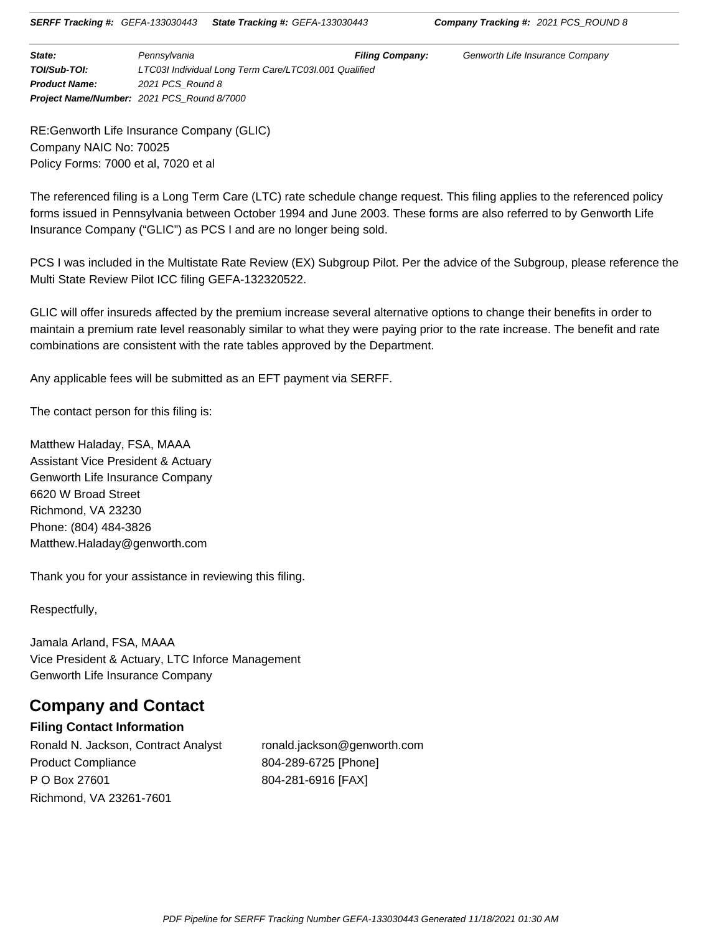**State: Example 2** Pennsylvania **Filing Company:** Genworth Life Insurance Company **TOI/Sub-TOI:** LTC03I Individual Long Term Care/LTC03I.001 Qualified **Product Name:** 2021 PCS\_Round 8 **Project Name/Number:** 2021 PCS\_Round 8/7000

RE:Genworth Life Insurance Company (GLIC) Company NAIC No: 70025 Policy Forms: 7000 et al, 7020 et al

The referenced filing is a Long Term Care (LTC) rate schedule change request. This filing applies to the referenced policy forms issued in Pennsylvania between October 1994 and June 2003. These forms are also referred to by Genworth Life Insurance Company ("GLIC") as PCS I and are no longer being sold.

PCS I was included in the Multistate Rate Review (EX) Subgroup Pilot. Per the advice of the Subgroup, please reference the Multi State Review Pilot ICC filing GEFA-132320522.

GLIC will offer insureds affected by the premium increase several alternative options to change their benefits in order to maintain a premium rate level reasonably similar to what they were paying prior to the rate increase. The benefit and rate combinations are consistent with the rate tables approved by the Department.

Any applicable fees will be submitted as an EFT payment via SERFF.

The contact person for this filing is:

Matthew Haladay, FSA, MAAA Assistant Vice President & Actuary Genworth Life Insurance Company 6620 W Broad Street Richmond, VA 23230 Phone: (804) 484-3826 Matthew.Haladay@genworth.com

Thank you for your assistance in reviewing this filing.

Respectfully,

Jamala Arland, FSA, MAAA Vice President & Actuary, LTC Inforce Management Genworth Life Insurance Company

## **Company and Contact**

#### **Filing Contact Information**

Ronald N. Jackson, Contract Analyst ronald.jackson@genworth.com Product Compliance P O Box 27601 Richmond, VA 23261-7601

804-289-6725 [Phone] 804-281-6916 [FAX]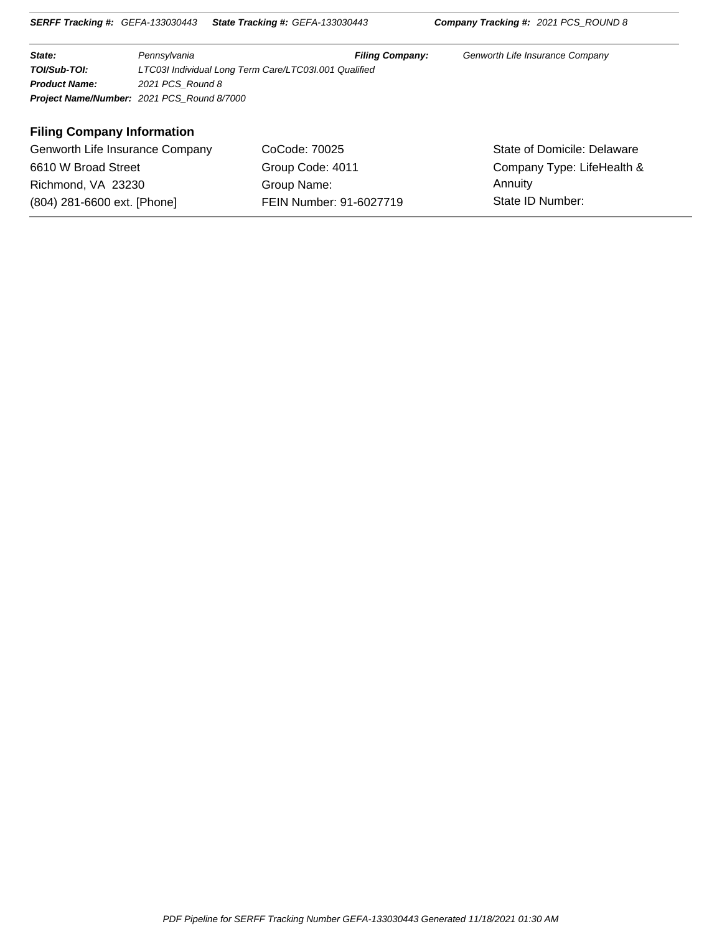| State:               | Pennsylvania                                          | <b>Filing Company:</b> | Genworth Life Insurance Company |  |
|----------------------|-------------------------------------------------------|------------------------|---------------------------------|--|
| TOI/Sub-TOI:         | LTC03I Individual Long Term Care/LTC03I.001 Qualified |                        |                                 |  |
| <b>Product Name:</b> | 2021 PCS Round 8                                      |                        |                                 |  |
|                      | <b>Project Name/Number: 2021 PCS Round 8/7000</b>     |                        |                                 |  |

#### **Filing Company Information**

| (804) 281-6600 ext. [Phone]     | FEIN Number: 91-6027719 | State ID Number:            |
|---------------------------------|-------------------------|-----------------------------|
| Richmond, VA 23230              | Group Name:             | Annuity                     |
| 6610 W Broad Street             | Group Code: 4011        | Company Type: LifeHealth &  |
| Genworth Life Insurance Company | CoCode: 70025           | State of Domicile: Delaware |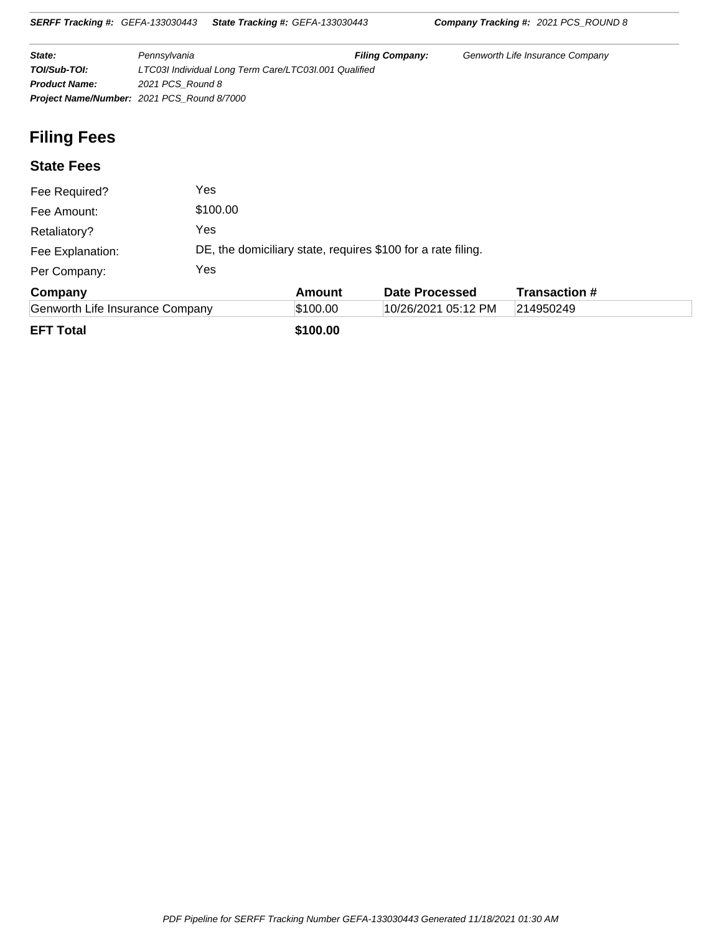| <b>SERFF Tracking #: GEFA-133030443</b> |                                            | <b>State Tracking #: GEFA-133030443</b>                      |                        | <b>Company Tracking #: 2021 PCS_ROUND 8</b> |  |  |  |  |
|-----------------------------------------|--------------------------------------------|--------------------------------------------------------------|------------------------|---------------------------------------------|--|--|--|--|
| State:                                  | Pennsylvania                               |                                                              | <b>Filing Company:</b> | Genworth Life Insurance Company             |  |  |  |  |
| TOI/Sub-TOI:                            |                                            | LTC03I Individual Long Term Care/LTC03I.001 Qualified        |                        |                                             |  |  |  |  |
| <b>Product Name:</b>                    |                                            | 2021 PCS Round 8                                             |                        |                                             |  |  |  |  |
|                                         | Project Name/Number: 2021 PCS Round 8/7000 |                                                              |                        |                                             |  |  |  |  |
| <b>Filing Fees</b>                      |                                            |                                                              |                        |                                             |  |  |  |  |
| <b>State Fees</b>                       |                                            |                                                              |                        |                                             |  |  |  |  |
| Fee Required?                           | Yes                                        |                                                              |                        |                                             |  |  |  |  |
| Fee Amount:                             | \$100.00                                   |                                                              |                        |                                             |  |  |  |  |
| Retaliatory?                            | Yes                                        |                                                              |                        |                                             |  |  |  |  |
| Fee Explanation:                        |                                            | DE, the domiciliary state, requires \$100 for a rate filing. |                        |                                             |  |  |  |  |
| Per Company:                            | Yes                                        |                                                              |                        |                                             |  |  |  |  |

| Company                         | Amount   | Date Processed      | <b>Transaction #</b> |  |
|---------------------------------|----------|---------------------|----------------------|--|
| Genworth Life Insurance Company | \$100.00 | 10/26/2021 05:12 PM | 214950249            |  |
| EFT Total                       | \$100.00 |                     |                      |  |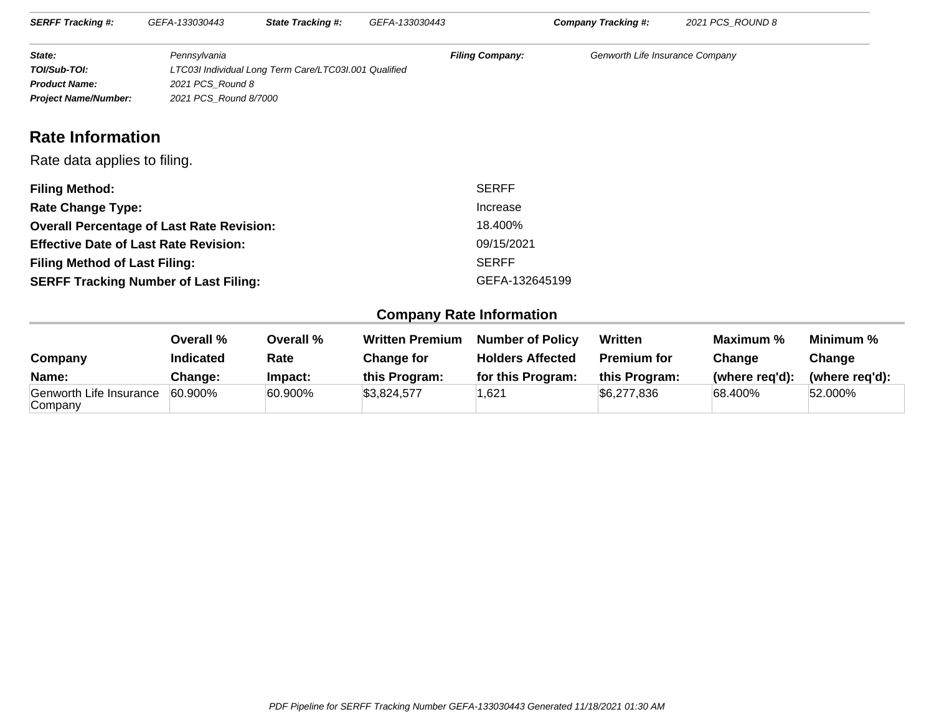| <b>SERFF Tracking #:</b>    | GEFA-133030443        | <b>State Tracking #:</b>                              | GEFA-133030443         | Company Tracking #:             | 2021 PCS ROUND 8 |  |
|-----------------------------|-----------------------|-------------------------------------------------------|------------------------|---------------------------------|------------------|--|
| State:                      | Pennsvlvania          |                                                       | <b>Filing Company:</b> | Genworth Life Insurance Company |                  |  |
| TOI/Sub-TOI:                |                       | LTC03I Individual Long Term Care/LTC03I.001 Qualified |                        |                                 |                  |  |
| <b>Product Name:</b>        |                       | 2021 PCS Round 8                                      |                        |                                 |                  |  |
| <b>Project Name/Number:</b> | 2021 PCS Round 8/7000 |                                                       |                        |                                 |                  |  |

## **Rate Information**

#### Rate data applies to filing.

| <b>Filing Method:</b>                            | <b>SERFF</b>   |
|--------------------------------------------------|----------------|
| <b>Rate Change Type:</b>                         | Increase       |
| <b>Overall Percentage of Last Rate Revision:</b> | 18.400%        |
| <b>Effective Date of Last Rate Revision:</b>     | 09/15/2021     |
| <b>Filing Method of Last Filing:</b>             | <b>SERFF</b>   |
| <b>SERFF Tracking Number of Last Filing:</b>     | GEFA-132645199 |

### **Company Rate Information**

| Company                            | Overall %<br><b>Indicated</b> | Overall %<br>Rate | <b>Written Premium</b><br>Change for | <b>Number of Policy</b><br><b>Holders Affected</b> | Written<br><b>Premium for</b> | Maximum %<br>Change | Minimum %<br>Change |
|------------------------------------|-------------------------------|-------------------|--------------------------------------|----------------------------------------------------|-------------------------------|---------------------|---------------------|
| Name:                              | Change:                       | Impact:           | this Program:                        | for this Program:                                  | this Program:                 | (where reg'd):      | (where reg'd):      |
| Genworth Life Insurance<br>Company | 60.900%                       | 60.900%           | \$3,824,577                          | ,621                                               | \$6,277,836                   | 68.400%             | 52.000%             |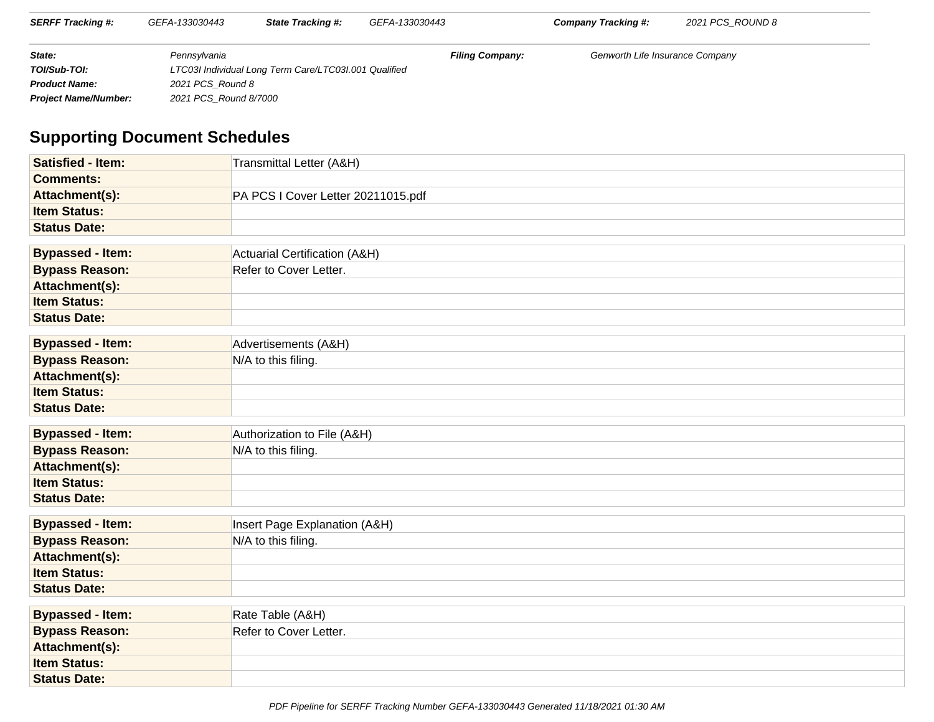| <b>SERFF Tracking #:</b>    | GEFA-133030443        | <b>State Tracking #:</b>                              | GEFA-133030443         | Company Tracking #:             | 2021 PCS ROUND 8 |  |
|-----------------------------|-----------------------|-------------------------------------------------------|------------------------|---------------------------------|------------------|--|
| State:                      | Pennsylvania          |                                                       | <b>Filing Company:</b> | Genworth Life Insurance Company |                  |  |
| TOI/Sub-TOI:                |                       | LTC03I Individual Long Term Care/LTC03I.001 Qualified |                        |                                 |                  |  |
| <b>Product Name:</b>        | 2021 PCS Round 8      |                                                       |                        |                                 |                  |  |
| <b>Project Name/Number:</b> | 2021 PCS Round 8/7000 |                                                       |                        |                                 |                  |  |

# **Supporting Document Schedules**

| <b>Satisfied - Item:</b> | Transmittal Letter (A&H)           |
|--------------------------|------------------------------------|
| <b>Comments:</b>         |                                    |
| Attachment(s):           | PA PCS I Cover Letter 20211015.pdf |
| <b>Item Status:</b>      |                                    |
| <b>Status Date:</b>      |                                    |
|                          |                                    |
| <b>Bypassed - Item:</b>  | Actuarial Certification (A&H)      |
| <b>Bypass Reason:</b>    | Refer to Cover Letter.             |
| Attachment(s):           |                                    |
| <b>Item Status:</b>      |                                    |
| <b>Status Date:</b>      |                                    |
| <b>Bypassed - Item:</b>  | Advertisements (A&H)               |
| <b>Bypass Reason:</b>    | N/A to this filing.                |
| Attachment(s):           |                                    |
| <b>Item Status:</b>      |                                    |
| <b>Status Date:</b>      |                                    |
|                          |                                    |
| <b>Bypassed - Item:</b>  | Authorization to File (A&H)        |
| <b>Bypass Reason:</b>    | N/A to this filing.                |
| Attachment(s):           |                                    |
| <b>Item Status:</b>      |                                    |
| <b>Status Date:</b>      |                                    |
| <b>Bypassed - Item:</b>  | Insert Page Explanation (A&H)      |
| <b>Bypass Reason:</b>    | N/A to this filing.                |
| Attachment(s):           |                                    |
| <b>Item Status:</b>      |                                    |
| <b>Status Date:</b>      |                                    |
|                          |                                    |
| <b>Bypassed - Item:</b>  | Rate Table (A&H)                   |
| <b>Bypass Reason:</b>    | Refer to Cover Letter.             |
| Attachment(s):           |                                    |
| <b>Item Status:</b>      |                                    |
| <b>Status Date:</b>      |                                    |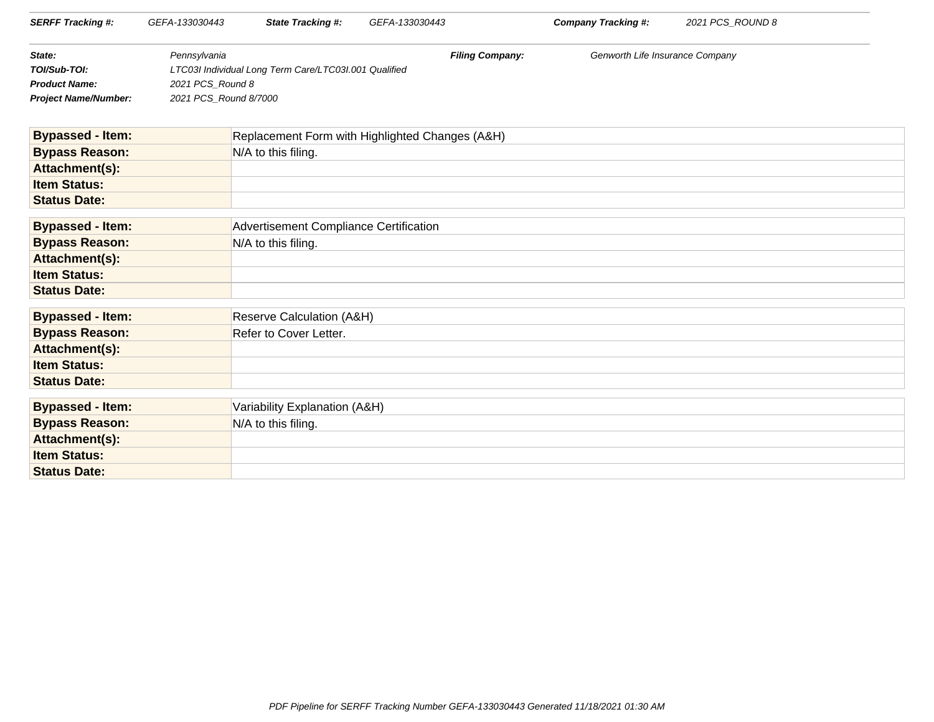| <b>SERFF Tracking #:</b>    | GEFA-133030443        | <b>State Tracking #:</b>                              | GEFA-133030443         | Company Tracking #:             | 2021 PCS ROUND 8 |
|-----------------------------|-----------------------|-------------------------------------------------------|------------------------|---------------------------------|------------------|
| State:                      | Pennsylvania          |                                                       | <b>Filing Company:</b> | Genworth Life Insurance Company |                  |
| TOI/Sub-TOI:                |                       | LTC03I Individual Long Term Care/LTC03I.001 Qualified |                        |                                 |                  |
| <b>Product Name:</b>        | 2021 PCS Round 8      |                                                       |                        |                                 |                  |
| <b>Project Name/Number:</b> | 2021 PCS Round 8/7000 |                                                       |                        |                                 |                  |
|                             |                       |                                                       |                        |                                 |                  |

| <b>Bypassed - Item:</b> | Replacement Form with Highlighted Changes (A&H) |
|-------------------------|-------------------------------------------------|
| <b>Bypass Reason:</b>   | $N/A$ to this filing.                           |
| Attachment(s):          |                                                 |
| <b>Item Status:</b>     |                                                 |
| <b>Status Date:</b>     |                                                 |

| <b>Bypassed - Item:</b> | Advertisement Compliance Certification |
|-------------------------|----------------------------------------|
| <b>Bypass Reason:</b>   | $N/A$ to this filing.                  |
| Attachment(s):          |                                        |
| <b>Item Status:</b>     |                                        |
| <b>Status Date:</b>     |                                        |

| <b>Bypassed - Item:</b> | <b>Reserve Calculation (A&amp;H)</b> |
|-------------------------|--------------------------------------|
| <b>Bypass Reason:</b>   | Refer to Cover Letter.               |
| Attachment(s):          |                                      |
| <b>Item Status:</b>     |                                      |
| <b>Status Date:</b>     |                                      |
|                         |                                      |

| <b>Bypassed - Item:</b> | Variability Explanation (A&H) |
|-------------------------|-------------------------------|
| <b>Bypass Reason:</b>   | N/A to this filing.           |
| Attachment(s):          |                               |
| <b>Item Status:</b>     |                               |
| <b>Status Date:</b>     |                               |